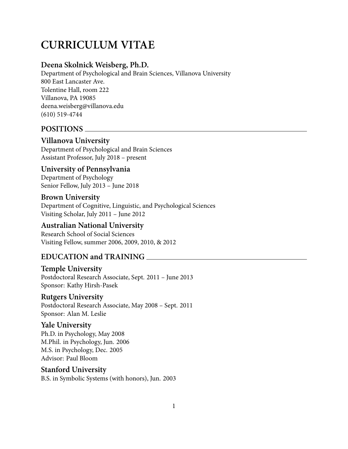# **CURRICULUM VITAE**

## **Deena Skolnick Weisberg, Ph.D.**

Department of Psychological and Brain Sciences, Villanova University 800 East Lancaster Ave. Tolentine Hall, room 222 Villanova, PA 19085 deena.weisberg@villanova.edu (610) 519-4744

## **POSITIONS**

#### **Villanova University**

Department of Psychological and Brain Sciences Assistant Professor, July 2018 – present

#### **University of Pennsylvania** Department of Psychology Senior Fellow, July 2013 – June 2018

**Brown University** Department of Cognitive, Linguistic, and Psychological Sciences Visiting Scholar, July 2011 – June 2012

#### **Australian National University**

Research School of Social Sciences Visiting Fellow, summer 2006, 2009, 2010, & 2012

## **EDUCATION and TRAINING**

## **Temple University**

Postdoctoral Research Associate, Sept. 2011 – June 2013 Sponsor: Kathy Hirsh-Pasek

#### **Rutgers University**

Postdoctoral Research Associate, May 2008 – Sept. 2011 Sponsor: Alan M. Leslie

#### **Yale University**

Ph.D. in Psychology, May 2008 M.Phil. in Psychology, Jun. 2006 M.S. in Psychology, Dec. 2005 Advisor: Paul Bloom

## **Stanford University**

B.S. in Symbolic Systems (with honors), Jun. 2003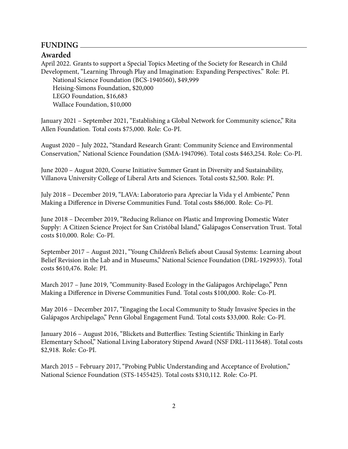#### **FUNDING**

#### **Awarded**

April 2022. Grants to support a Special Topics Meeting of the Society for Research in Child Development, "Learning Through Play and Imagination: Expanding Perspectives." Role: PI. National Science Foundation (BCS-1940560), \$49,999 Heising-Simons Foundation, \$20,000 LEGO Foundation, \$16,683 Wallace Foundation, \$10,000

January 2021 – September 2021, "Establishing a Global Network for Community science," Rita Allen Foundation. Total costs \$75,000. Role: Co-PI.

August 2020 – July 2022, "Standard Research Grant: Community Science and Environmental Conservation," National Science Foundation (SMA-1947096). Total costs \$463,254. Role: Co-PI.

June 2020 – August 2020, Course Initiative Summer Grant in Diversity and Sustainability, Villanova University College of Liberal Arts and Sciences. Total costs \$2,500. Role: PI.

July 2018 – December 2019, "LAVA: Laboratorio para Apreciar la Vida y el Ambiente," Penn Making a Difference in Diverse Communities Fund. Total costs \$86,000. Role: Co-PI.

June 2018 – December 2019, "Reducing Reliance on Plastic and Improving Domestic Water Supply: A Citizen Science Project for San Cristóbal Island," Galápagos Conservation Trust. Total costs \$10,000. Role: Co-PI.

September 2017 – August 2021, "Young Children's Beliefs about Causal Systems: Learning about Belief Revision in the Lab and in Museums," National Science Foundation (DRL-1929935). Total costs \$610,476. Role: PI.

March 2017 – June 2019, "Community-Based Ecology in the Galápagos Archipelago," Penn Making a Difference in Diverse Communities Fund. Total costs \$100,000. Role: Co-PI.

May 2016 – December 2017, "Engaging the Local Community to Study Invasive Species in the Galápagos Archipelago," Penn Global Engagement Fund. Total costs \$33,000. Role: Co-PI.

January 2016 – August 2016, "Blickets and Butterflies: Testing Scientific Thinking in Early Elementary School," National Living Laboratory Stipend Award (NSF DRL-1113648). Total costs \$2,918. Role: Co-PI.

March 2015 – February 2017, "Probing Public Understanding and Acceptance of Evolution," National Science Foundation (STS-1455425). Total costs \$310,112. Role: Co-PI.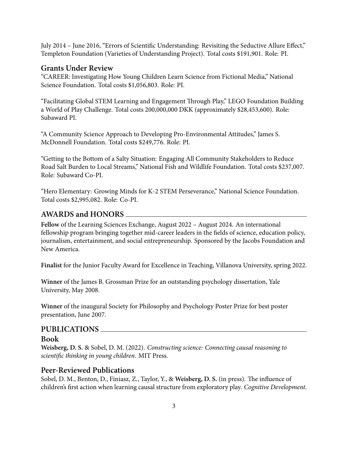July 2014 – June 2016, "Errors of Scientific Understanding: Revisiting the Seductive Allure Effect," Templeton Foundation (Varieties of Understanding Project). Total costs \$191,901. Role: PI.

#### **Grants Under Review**

"CAREER: Investigating How Young Children Learn Science from Fictional Media," National Science Foundation. Total costs \$1,056,803. Role: PI.

"Facilitating Global STEM Learning and Engagement Through Play," LEGO Foundation Building a World of Play Challenge. Total costs 200,000,000 DKK (approximately \$28,453,600). Role: Subaward PI.

"A Community Science Approach to Developing Pro-Environmental Attitudes," James S. McDonnell Foundation. Total costs \$249,776. Role: PI.

"Getting to the Bottom of a Salty Situation: Engaging All Community Stakeholders to Reduce Road Salt Burden to Local Streams," National Fish and Wildlife Foundation. Total costs \$237,007. Role: Subaward Co-PI.

"Hero Elementary: Growing Minds for K-2 STEM Perseverance," National Science Foundation. Total costs \$2,995,082. Role: Co-PI.

#### **AWARDS and HONORS**

**Fellow** of the Learning Sciences Exchange, August 2022 – August 2024. An international fellowship program bringing together mid-career leaders in the fields of science, education policy, journalism, entertainment, and social entrepreneurship. Sponsored by the Jacobs Foundation and New America.

**Finalist** for the Junior Faculty Award for Excellence in Teaching, Villanova University, spring 2022.

**Winner** of the James B. Grossman Prize for an outstanding psychology dissertation, Yale University, May 2008.

**Winner** of the inaugural Society for Philosophy and Psychology Poster Prize for best poster presentation, June 2007.

#### **PUBLICATIONS**

#### **Book**

**Weisberg, D. S.** & Sobel, D. M. (2022). *Constructing science: Connecting causal reasoning to scientific thinking in young children*. MIT Press.

#### **Peer-Reviewed Publications**

Sobel, D. M., Benton, D., Finiasz, Z., Taylor, Y., & **Weisberg, D. S.** (in press). The influence of children's first action when learning causal structure from exploratory play. *Cognitive Development*.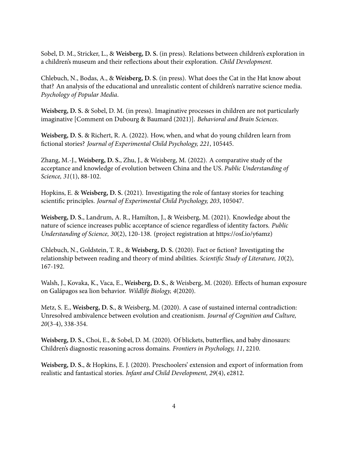Sobel, D. M., Stricker, L., & **Weisberg, D. S.** (in press). Relations between children's exploration in a children's museum and their reflections about their exploration. *Child Development*.

Chlebuch, N., Bodas, A., & **Weisberg, D. S.** (in press). What does the Cat in the Hat know about that? An analysis of the educational and unrealistic content of children's narrative science media. *Psychology of Popular Media*.

**Weisberg, D. S.** & Sobel, D. M. (in press). Imaginative processes in children are not particularly imaginative [Comment on Dubourg & Baumard (2021)]. *Behavioral and Brain Sciences*.

**Weisberg, D. S.** & Richert, R. A. (2022). How, when, and what do young children learn from fictional stories? *Journal of Experimental Child Psychology, 221*, 105445.

Zhang, M.-J., **Weisberg, D. S.**, Zhu, J., & Weisberg, M. (2022). A comparative study of the acceptance and knowledge of evolution between China and the US. *Public Understanding of Science, 31*(1), 88-102.

Hopkins, E. & **Weisberg, D. S.** (2021). Investigating the role of fantasy stories for teaching scientific principles. *Journal of Experimental Child Psychology, 203*, 105047.

**Weisberg, D. S.**, Landrum, A. R., Hamilton, J., & Weisberg, M. (2021). Knowledge about the nature of science increases public acceptance of science regardless of identity factors. *Public Understanding of Science, 30*(2), 120-138. (project registration at https://osf.io/y6amz)

Chlebuch, N., Goldstein, T. R., & **Weisberg, D. S.** (2020). Fact or fiction? Investigating the relationship between reading and theory of mind abilities. *Scientific Study of Literature, 10*(2), 167-192.

Walsh, J., Kovaka, K., Vaca, E., **Weisberg, D. S.**, & Weisberg, M. (2020). Effects of human exposure on Galápagos sea lion behavior. *Wildlife Biology, 4*(2020).

Metz, S. E., **Weisberg, D. S.**, & Weisberg, M. (2020). A case of sustained internal contradiction: Unresolved ambivalence between evolution and creationism. *Journal of Cognition and Culture, 20*(3-4), 338-354.

**Weisberg, D. S.**, Choi, E., & Sobel, D. M. (2020). Of blickets, butterflies, and baby dinosaurs: Children's diagnostic reasoning across domains. *Frontiers in Psychology, 11*, 2210.

**Weisberg, D. S.**, & Hopkins, E. J. (2020). Preschoolers' extension and export of information from realistic and fantastical stories. *Infant and Child Development, 29*(4), e2812.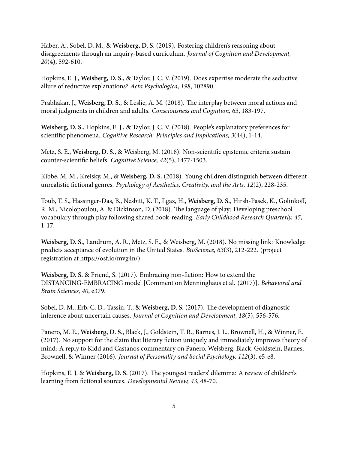Haber, A., Sobel, D. M., & **Weisberg, D. S.** (2019). Fostering children's reasoning about disagreements through an inquiry-based curriculum. *Journal of Cognition and Development, 20*(4), 592-610.

Hopkins, E. J., **Weisberg, D. S.**, & Taylor, J. C. V. (2019). Does expertise moderate the seductive allure of reductive explanations? *Acta Psychologica, 198*, 102890.

Prabhakar, J., **Weisberg, D. S.**, & Leslie, A. M. (2018). The interplay between moral actions and moral judgments in children and adults. *Consciousness and Cognition, 63*, 183-197.

**Weisberg, D. S.**, Hopkins, E. J., & Taylor, J. C. V. (2018). People's explanatory preferences for scientific phenomena. *Cognitive Research: Principles and Implications, 3*(44), 1-14.

Metz, S. E., **Weisberg, D. S.**, & Weisberg, M. (2018). Non-scientific epistemic criteria sustain counter-scientific beliefs. *Cognitive Science, 42*(5), 1477-1503.

Kibbe, M. M., Kreisky, M., & **Weisberg, D. S.** (2018). Young children distinguish between different unrealistic fictional genres. *Psychology of Aesthetics, Creativity, and the Arts, 12*(2), 228-235.

Toub, T. S., Hassinger-Das, B., Nesbitt, K. T., Ilgaz, H., **Weisberg, D. S.**, Hirsh-Pasek, K., Golinkoff, R. M., Nicolopoulou, A. & Dickinson, D. (2018). The language of play: Developing preschool vocabulary through play following shared book-reading. *Early Childhood Research Quarterly, 45*, 1-17.

**Weisberg, D. S.**, Landrum, A. R., Metz, S. E., & Weisberg, M. (2018). No missing link: Knowledge predicts acceptance of evolution in the United States. *BioScience, 63*(3), 212-222. (project registration at https://osf.io/mvg4n/)

**Weisberg, D. S.** & Friend, S. (2017). Embracing non-fiction: How to extend the DISTANCING-EMBRACING model [Comment on Menninghaus et al. (2017)]. *Behavioral and Brain Sciences, 40*, e379.

Sobel, D. M., Erb, C. D., Tassin, T., & **Weisberg, D. S.** (2017). The development of diagnostic inference about uncertain causes. *Journal of Cognition and Development, 18*(5), 556-576.

Panero, M. E., **Weisberg, D. S.**, Black, J., Goldstein, T. R., Barnes, J. L., Brownell, H., & Winner, E. (2017). No support for the claim that literary fiction uniquely and immediately improves theory of mind: A reply to Kidd and Castano's commentary on Panero, Weisberg, Black, Goldstein, Barnes, Brownell, & Winner (2016). *Journal of Personality and Social Psychology, 112*(3), e5-e8.

Hopkins, E. J. & **Weisberg, D. S.** (2017). The youngest readers' dilemma: A review of children's learning from fictional sources. *Developmental Review, 43*, 48-70.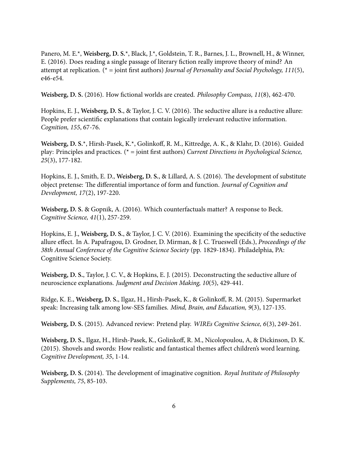Panero, M. E.\*, **Weisberg, D. S.**\*, Black, J.\*, Goldstein, T. R., Barnes, J. L., Brownell, H., & Winner, E. (2016). Does reading a single passage of literary fiction really improve theory of mind? An attempt at replication. (\* = joint first authors) *Journal of Personality and Social Psychology, 111*(5), e46-e54.

**Weisberg, D. S.** (2016). How fictional worlds are created. *Philosophy Compass, 11*(8), 462-470.

Hopkins, E. J., **Weisberg, D. S.**, & Taylor, J. C. V. (2016). The seductive allure is a reductive allure: People prefer scientific explanations that contain logically irrelevant reductive information. *Cognition, 155*, 67-76.

**Weisberg, D. S.**\*, Hirsh-Pasek, K.\*, Golinkoff, R. M., Kittredge, A. K., & Klahr, D. (2016). Guided play: Principles and practices. (\* = joint first authors) *Current Directions in Psychological Science, 25*(3), 177-182.

Hopkins, E. J., Smith, E. D., **Weisberg, D. S.**, & Lillard, A. S. (2016). The development of substitute object pretense: The differential importance of form and function. *Journal of Cognition and Development, 17*(2), 197-220.

**Weisberg, D. S.** & Gopnik, A. (2016). Which counterfactuals matter? A response to Beck. *Cognitive Science, 41*(1), 257-259.

Hopkins, E. J., **Weisberg, D. S.**, & Taylor, J. C. V. (2016). Examining the specificity of the seductive allure effect. In A. Papafragou, D. Grodner, D. Mirman, & J. C. Trueswell (Eds.), *Proceedings of the 38th Annual Conference of the Cognitive Science Society* (pp. 1829-1834). Philadelphia, PA: Cognitive Science Society.

**Weisberg, D. S.**, Taylor, J. C. V., & Hopkins, E. J. (2015). Deconstructing the seductive allure of neuroscience explanations. *Judgment and Decision Making, 10*(5), 429-441.

Ridge, K. E., **Weisberg, D. S.**, Ilgaz, H., Hirsh-Pasek, K., & Golinkoff, R. M. (2015). Supermarket speak: Increasing talk among low-SES families. *Mind, Brain, and Education, 9*(3), 127-135.

**Weisberg, D. S.** (2015). Advanced review: Pretend play. *WIREs Cognitive Science, 6*(3), 249-261.

**Weisberg, D. S.**, Ilgaz, H., Hirsh-Pasek, K., Golinkoff, R. M., Nicolopoulou, A, & Dickinson, D. K. (2015). Shovels and swords: How realistic and fantastical themes affect children's word learning. *Cognitive Development, 35*, 1-14.

**Weisberg, D. S.** (2014). The development of imaginative cognition. *Royal Institute of Philosophy Supplements, 75*, 85-103.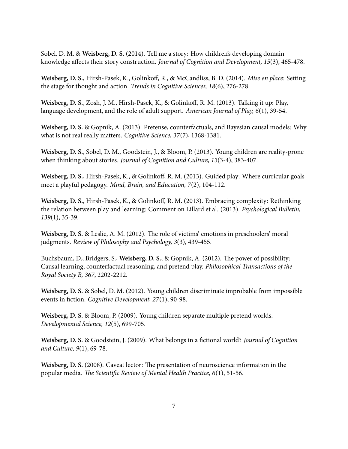Sobel, D. M. & **Weisberg, D. S.** (2014). Tell me a story: How children's developing domain knowledge affects their story construction. *Journal of Cognition and Development, 15*(3), 465-478.

**Weisberg, D. S.**, Hirsh-Pasek, K., Golinkoff, R., & McCandliss, B. D. (2014). *Mise en place*: Setting the stage for thought and action. *Trends in Cognitive Sciences, 18*(6), 276-278.

**Weisberg, D. S.**, Zosh, J. M., Hirsh-Pasek, K., & Golinkoff, R. M. (2013). Talking it up: Play, language development, and the role of adult support. *American Journal of Play, 6*(1), 39-54.

**Weisberg, D. S.** & Gopnik, A. (2013). Pretense, counterfactuals, and Bayesian causal models: Why what is not real really matters. *Cognitive Science, 37*(7), 1368-1381.

**Weisberg, D. S.**, Sobel, D. M., Goodstein, J., & Bloom, P. (2013). Young children are reality-prone when thinking about stories. *Journal of Cognition and Culture, 13*(3-4), 383-407.

**Weisberg, D. S.**, Hirsh-Pasek, K., & Golinkoff, R. M. (2013). Guided play: Where curricular goals meet a playful pedagogy. *Mind, Brain, and Education, 7*(2), 104-112.

**Weisberg, D. S.**, Hirsh-Pasek, K., & Golinkoff, R. M. (2013). Embracing complexity: Rethinking the relation between play and learning: Comment on Lillard et al. (2013). *Psychological Bulletin, 139*(1), 35-39.

**Weisberg, D. S.** & Leslie, A. M. (2012). The role of victims' emotions in preschoolers' moral judgments. *Review of Philosophy and Psychology, 3*(3), 439-455.

Buchsbaum, D., Bridgers, S., **Weisberg, D. S.**, & Gopnik, A. (2012). The power of possibility: Causal learning, counterfactual reasoning, and pretend play. *Philosophical Transactions of the Royal Society B, 367*, 2202-2212.

**Weisberg, D. S.** & Sobel, D. M. (2012). Young children discriminate improbable from impossible events in fiction. *Cognitive Development, 27*(1), 90-98.

**Weisberg, D. S.** & Bloom, P. (2009). Young children separate multiple pretend worlds. *Developmental Science, 12*(5), 699-705.

**Weisberg, D. S.** & Goodstein, J. (2009). What belongs in a fictional world? *Journal of Cognition and Culture, 9*(1), 69-78.

**Weisberg, D. S.** (2008). Caveat lector: The presentation of neuroscience information in the popular media. *The Scientific Review of Mental Health Practice, 6*(1), 51-56.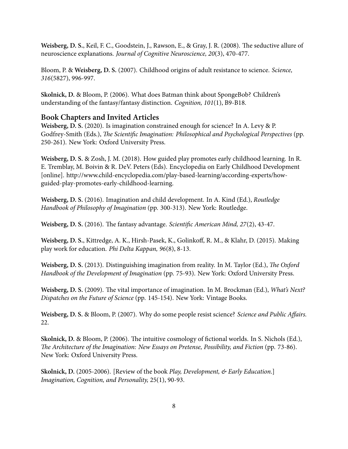**Weisberg, D. S.**, Keil, F. C., Goodstein, J., Rawson, E., & Gray, J. R. (2008). The seductive allure of neuroscience explanations. *Journal of Cognitive Neuroscience, 20*(3), 470-477.

Bloom, P. & **Weisberg, D. S.** (2007). Childhood origins of adult resistance to science. *Science, 316*(5827), 996-997.

**Skolnick, D.** & Bloom, P. (2006). What does Batman think about SpongeBob? Children's understanding of the fantasy/fantasy distinction. *Cognition, 101*(1), B9-B18.

#### **Book Chapters and Invited Articles**

**Weisberg, D. S.** (2020). Is imagination constrained enough for science? In A. Levy & P. Godfrey-Smith (Eds.), *The Scientific Imagination: Philosophical and Psychological Perspectives* (pp. 250-261). New York: Oxford University Press.

**Weisberg, D. S.** & Zosh, J. M. (2018). How guided play promotes early childhood learning. In R. E. Tremblay, M. Boivin & R. DeV. Peters (Eds). Encyclopedia on Early Childhood Development [online]. http://www.child-encyclopedia.com/play-based-learning/according-experts/howguided-play-promotes-early-childhood-learning.

**Weisberg, D. S.** (2016). Imagination and child development. In A. Kind (Ed.), *Routledge Handbook of Philosophy of Imagination* (pp. 300-313). New York: Routledge.

**Weisberg, D. S.** (2016). The fantasy advantage. *Scientific American Mind, 27*(2), 43-47.

**Weisberg, D. S.**, Kittredge, A. K., Hirsh-Pasek, K., Golinkoff, R. M., & Klahr, D. (2015). Making play work for education. *Phi Delta Kappan, 96*(8), 8-13.

**Weisberg, D. S.** (2013). Distinguishing imagination from reality. In M. Taylor (Ed.), *The Oxford Handbook of the Development of Imagination* (pp. 75-93). New York: Oxford University Press.

**Weisberg, D. S.** (2009). The vital importance of imagination. In M. Brockman (Ed.), *What's Next? Dispatches on the Future of Science* (pp. 145-154). New York: Vintage Books.

**Weisberg, D. S.** & Bloom, P. (2007). Why do some people resist science? *Science and Public Affairs.* 22.

**Skolnick, D.** & Bloom, P. (2006). The intuitive cosmology of fictional worlds. In S. Nichols (Ed.), *The Architecture of the Imagination: New Essays on Pretense, Possibility, and Fiction* (pp. 73-86). New York: Oxford University Press.

**Skolnick, D.** (2005-2006). [Review of the book *Play, Development, & Early Education*.] *Imagination, Cognition, and Personality,* 25(1), 90-93.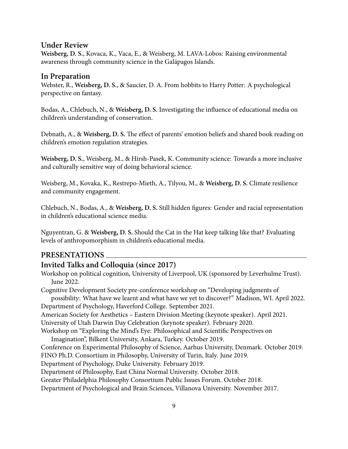#### **Under Review**

**Weisberg, D. S.**, Kovaca, K., Vaca, E., & Weisberg, M. LAVA-Lobos: Raising environmental awareness through community science in the Galápagos Islands.

#### **In Preparation**

Webster, R., **Weisberg, D. S.**, & Saucier, D. A. From hobbits to Harry Potter: A psychological perspective on fantasy.

Bodas, A., Chlebuch, N., & **Weisberg, D. S.** Investigating the influence of educational media on children's understanding of conservation.

Debnath, A., & **Weisberg, D. S.** The effect of parents' emotion beliefs and shared book reading on children's emotion regulation strategies.

**Weisberg, D. S.**, Weisberg, M., & Hirsh-Pasek, K. Community science: Towards a more inclusive and culturally sensitive way of doing behavioral science.

Weisberg, M., Kovaka, K., Restrepo-Mieth, A., Tilyou, M., & **Weisberg, D. S.** Climate resilience and community engagement.

Chlebuch, N., Bodas, A., & **Weisberg, D. S.** Still hidden figures: Gender and racial representation in children's educational science media.

Nguyentran, G. & **Weisberg, D. S.** Should the Cat in the Hat keep talking like that? Evaluating levels of anthropomorphism in children's educational media.

#### **PRESENTATIONS**

### **Invited Talks and Colloquia (since 2017)**

Workshop on political cognition, University of Liverpool, UK (sponsored by Leverhulme Trust). June 2022.

Cognitive Development Society pre-conference workshop on "Developing judgments of possibility: What have we learnt and what have we yet to discover?" Madison, WI. April 2022. Department of Psychology, Haverford College. September 2021.

American Society for Aesthetics – Eastern Division Meeting (keynote speaker). April 2021.

University of Utah Darwin Day Celebration (keynote speaker). February 2020.

Workshop on "Exploring the Mind's Eye: Philosophical and Scientific Perspectives on

Imagination", Bilkent University, Ankara, Turkey. October 2019.

Conference on Experimental Philosophy of Science, Aarhus University, Denmark. October 2019.

FINO Ph.D. Consortium in Philosophy, University of Turin, Italy. June 2019.

Department of Psychology, Duke University. February 2019.

Department of Philosophy, East China Normal University. October 2018.

Greater Philadelphia Philosophy Consortium Public Issues Forum. October 2018.

Department of Psychological and Brain Sciences, Villanova University. November 2017.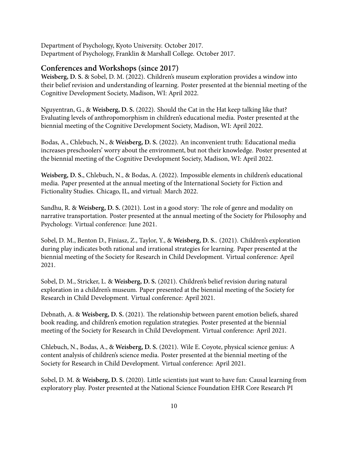Department of Psychology, Kyoto University. October 2017. Department of Psychology, Franklin & Marshall College. October 2017.

#### **Conferences and Workshops (since 2017)**

**Weisberg, D. S.** & Sobel, D. M. (2022). Children's museum exploration provides a window into their belief revision and understanding of learning. Poster presented at the biennial meeting of the Cognitive Development Society, Madison, WI: April 2022.

Nguyentran, G., & **Weisberg, D. S.** (2022). Should the Cat in the Hat keep talking like that? Evaluating levels of anthropomorphism in children's educational media. Poster presented at the biennial meeting of the Cognitive Development Society, Madison, WI: April 2022.

Bodas, A., Chlebuch, N., & **Weisberg, D. S.** (2022). An inconvenient truth: Educational media increases preschoolers' worry about the environment, but not their knowledge. Poster presented at the biennial meeting of the Cognitive Development Society, Madison, WI: April 2022.

**Weisberg, D. S.**, Chlebuch, N., & Bodas, A. (2022). Impossible elements in children's educational media. Paper presented at the annual meeting of the International Society for Fiction and Fictionality Studies. Chicago, IL, and virtual: March 2022.

Sandhu, R. & **Weisberg, D. S.** (2021). Lost in a good story: The role of genre and modality on narrative transportation. Poster presented at the annual meeting of the Society for Philosophy and Psychology. Virtual conference: June 2021.

Sobel, D. M., Benton D., Finiasz, Z., Taylor, Y., & **Weisberg, D. S.**. (2021). Children's exploration during play indicates both rational and irrational strategies for learning. Paper presented at the biennial meeting of the Society for Research in Child Development. Virtual conference: April 2021.

Sobel, D. M., Stricker, L. & **Weisberg, D. S.** (2021). Children's belief revision during natural exploration in a children's museum. Paper presented at the biennial meeting of the Society for Research in Child Development. Virtual conference: April 2021.

Debnath, A. & **Weisberg, D. S.** (2021). The relationship between parent emotion beliefs, shared book reading, and children's emotion regulation strategies. Poster presented at the biennial meeting of the Society for Research in Child Development. Virtual conference: April 2021.

Chlebuch, N., Bodas, A., & **Weisberg, D. S.** (2021). Wile E. Coyote, physical science genius: A content analysis of children's science media. Poster presented at the biennial meeting of the Society for Research in Child Development. Virtual conference: April 2021.

Sobel, D. M. & **Weisberg, D. S.** (2020). Little scientists just want to have fun: Causal learning from exploratory play. Poster presented at the National Science Foundation EHR Core Research PI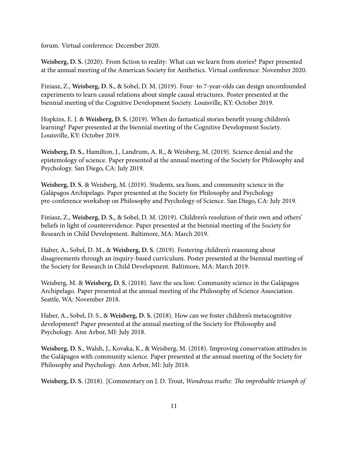forum. Virtual conference: December 2020.

**Weisberg, D. S.** (2020). From fiction to reality: What can we learn from stories? Paper presented at the annual meeting of the American Society for Aesthetics. Virtual conference: November 2020.

Finiasz, Z., **Weisberg, D. S.**, & Sobel, D. M. (2019). Four- to 7-year-olds can design unconfounded experiments to learn causal relations about simple causal structures. Poster presented at the biennial meeting of the Cognitive Development Society. Louisville, KY: October 2019.

Hopkins, E. J. & **Weisberg, D. S.** (2019). When do fantastical stories benefit young children's learning? Paper presented at the biennial meeting of the Cognitive Development Society. Louisville, KY: October 2019.

**Weisberg, D. S.**, Hamilton, J., Landrum, A. R., & Weisberg, M. (2019). Science denial and the epistemology of science. Paper presented at the annual meeting of the Society for Philosophy and Psychology. San Diego, CA: July 2019.

**Weisberg, D. S.** & Weisberg, M. (2019). Students, sea lions, and community science in the Galápagos Archipelago. Paper presented at the Society for Philosophy and Psychology pre-conference workshop on Philosophy and Psychology of Science. San Diego, CA: July 2019.

Finiasz, Z., **Weisberg, D. S.**, & Sobel, D. M. (2019). Children's resolution of their own and others' beliefs in light of counterevidence. Paper presented at the biennial meeting of the Society for Research in Child Development. Baltimore, MA: March 2019.

Haber, A., Sobel, D. M., & **Weisberg, D. S.** (2019). Fostering children's reasoning about disagreements through an inquiry-based curriculum. Poster presented at the biennial meeting of the Society for Research in Child Development. Baltimore, MA: March 2019.

Weisberg, M. & **Weisberg, D. S.** (2018). Save the sea lion: Community science in the Galápagos Archipelago. Paper presented at the annual meeting of the Philosophy of Science Association. Seattle, WA: November 2018.

Haber, A., Sobel, D. S., & **Weisberg, D. S.** (2018). How can we foster children's metacognitive development? Paper presented at the annual meeting of the Society for Philosophy and Psychology. Ann Arbor, MI: July 2018.

**Weisberg, D. S.**, Walsh, J., Kovaka, K., & Weisberg, M. (2018). Improving conservation attitudes in the Galápagos with community science. Paper presented at the annual meeting of the Society for Philosophy and Psychology. Ann Arbor, MI: July 2018.

**Weisberg, D. S.** (2018). [Commentary on J. D. Trout, *Wondrous truths: The improbable triumph of*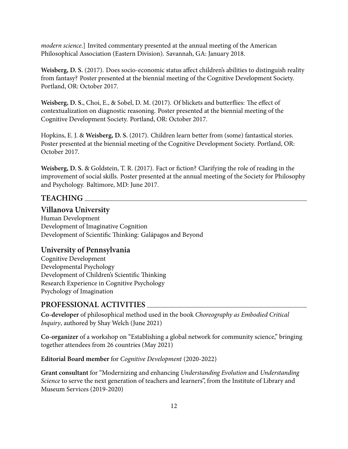*modern science*.] Invited commentary presented at the annual meeting of the American Philosophical Association (Eastern Division). Savannah, GA: January 2018.

**Weisberg, D. S.** (2017). Does socio-economic status affect children's abilities to distinguish reality from fantasy? Poster presented at the biennial meeting of the Cognitive Development Society. Portland, OR: October 2017.

**Weisberg, D. S.**, Choi, E., & Sobel, D. M. (2017). Of blickets and butterflies: The effect of contextualization on diagnostic reasoning. Poster presented at the biennial meeting of the Cognitive Development Society. Portland, OR: October 2017.

Hopkins, E. J. & **Weisberg, D. S.** (2017). Children learn better from (some) fantastical stories. Poster presented at the biennial meeting of the Cognitive Development Society. Portland, OR: October 2017.

**Weisberg, D. S.** & Goldstein, T. R. (2017). Fact or fiction? Clarifying the role of reading in the improvement of social skills. Poster presented at the annual meeting of the Society for Philosophy and Psychology. Baltimore, MD: June 2017.

#### **TEACHING**

#### **Villanova University**

Human Development Development of Imaginative Cognition Development of Scientific Thinking: Galápagos and Beyond

#### **University of Pennsylvania**

Cognitive Development Developmental Psychology Development of Children's Scientific Thinking Research Experience in Cognitive Psychology Psychology of Imagination

#### **PROFESSIONAL ACTIVITIES**

**Co-developer** of philosophical method used in the book *Choreography as Embodied Critical Inquiry*, authored by Shay Welch (June 2021)

**Co-organizer** of a workshop on "Establishing a global network for community science," bringing together attendees from 26 countries (May 2021)

**Editorial Board member** for *Cognitive Development* (2020-2022)

**Grant consultant** for "Modernizing and enhancing *Understanding Evolution* and *Understanding Science* to serve the next generation of teachers and learners", from the Institute of Library and Museum Services (2019-2020)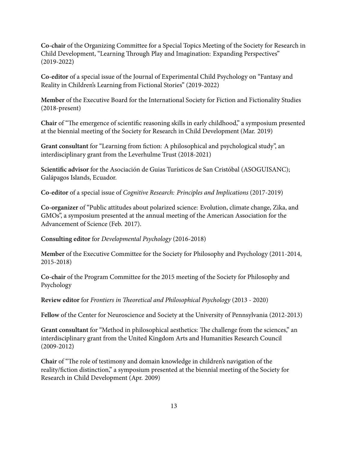**Co-chair** of the Organizing Committee for a Special Topics Meeting of the Society for Research in Child Development, "Learning Through Play and Imagination: Expanding Perspectives" (2019-2022)

**Co-editor** of a special issue of the Journal of Experimental Child Psychology on "Fantasy and Reality in Children's Learning from Fictional Stories" (2019-2022)

**Member** of the Executive Board for the International Society for Fiction and Fictionality Studies (2018-present)

**Chair** of "The emergence of scientific reasoning skills in early childhood," a symposium presented at the biennial meeting of the Society for Research in Child Development (Mar. 2019)

**Grant consultant** for "Learning from fiction: A philosophical and psychological study", an interdisciplinary grant from the Leverhulme Trust (2018-2021)

**Scientific advisor** for the Asociación de Guias Turísticos de San Cristóbal (ASOGUISANC); Galápagos Islands, Ecuador.

**Co-editor** of a special issue of *Cognitive Research: Principles and Implications* (2017-2019)

**Co-organizer** of "Public attitudes about polarized science: Evolution, climate change, Zika, and GMOs", a symposium presented at the annual meeting of the American Association for the Advancement of Science (Feb. 2017).

**Consulting editor** for *Developmental Psychology* (2016-2018)

**Member** of the Executive Committee for the Society for Philosophy and Psychology (2011-2014, 2015-2018)

**Co-chair** of the Program Committee for the 2015 meeting of the Society for Philosophy and Psychology

**Review editor** for *Frontiers in Theoretical and Philosophical Psychology* (2013 - 2020)

**Fellow** of the Center for Neuroscience and Society at the University of Pennsylvania (2012-2013)

**Grant consultant** for "Method in philosophical aesthetics: The challenge from the sciences," an interdisciplinary grant from the United Kingdom Arts and Humanities Research Council (2009-2012)

**Chair** of "The role of testimony and domain knowledge in children's navigation of the reality/fiction distinction," a symposium presented at the biennial meeting of the Society for Research in Child Development (Apr. 2009)